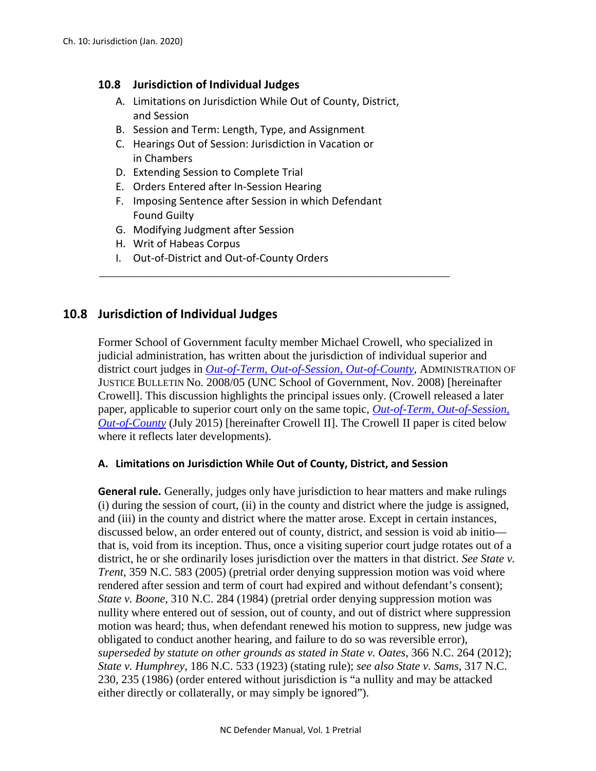# **10.8 Jurisdiction of Individual Judges**

- A. Limitations on Jurisdiction While Out of County, District, and Session
- B. Session and Term: Length, Type, and Assignment
- C. Hearings Out of Session: Jurisdiction in Vacation or in Chambers
- D. Extending Session to Complete Trial
- E. Orders Entered after In-Session Hearing
- F. Imposing Sentence after Session in which Defendant Found Guilty

\_\_\_\_\_\_\_\_\_\_\_\_\_\_\_\_\_\_\_\_\_\_\_\_\_\_\_\_\_\_\_\_\_\_\_\_\_\_\_\_\_\_\_\_\_\_\_\_\_\_\_\_\_\_\_\_\_\_\_\_

- G. Modifying Judgment after Session
- H. Writ of Habeas Corpus
- I. Out-of-District and Out-of-County Orders

# **10.8 Jurisdiction of Individual Judges**

Former School of Government faculty member Michael Crowell, who specialized in judicial administration, has written about the jurisdiction of individual superior and district court judges in *[Out-of-Term, Out-of-Session, Out-of-County](https://www.sog.unc.edu/sites/www.sog.unc.edu/files/reports/aojb0805.pdf)*, ADMINISTRATION OF JUSTICE BULLETIN No. 2008/05 (UNC School of Government, Nov. 2008) [hereinafter Crowell]. This discussion highlights the principal issues only. (Crowell released a later paper, applicable to superior court only on the same topic, *[Out-of-Term, Out-of-Session,](https://benchbook.sog.unc.edu/judicial-administration-and-general-matters/out-term-out-session-out-county)  [Out-of-County](https://benchbook.sog.unc.edu/judicial-administration-and-general-matters/out-term-out-session-out-county)* (July 2015) [hereinafter Crowell II]. The Crowell II paper is cited below where it reflects later developments).

#### **A. Limitations on Jurisdiction While Out of County, District, and Session**

**General rule.** Generally, judges only have jurisdiction to hear matters and make rulings (i) during the session of court, (ii) in the county and district where the judge is assigned, and (iii) in the county and district where the matter arose. Except in certain instances, discussed below, an order entered out of county, district, and session is void ab initio that is, void from its inception. Thus, once a visiting superior court judge rotates out of a district, he or she ordinarily loses jurisdiction over the matters in that district. *See State v. Trent*, 359 N.C. 583 (2005) (pretrial order denying suppression motion was void where rendered after session and term of court had expired and without defendant's consent); *State v. Boone*, 310 N.C. 284 (1984) (pretrial order denying suppression motion was nullity where entered out of session, out of county, and out of district where suppression motion was heard; thus, when defendant renewed his motion to suppress, new judge was obligated to conduct another hearing, and failure to do so was reversible error), *superseded by statute on other grounds as stated in State v. Oates*, 366 N.C. 264 (2012); *State v. Humphrey*, 186 N.C. 533 (1923) (stating rule); *see also State v. Sams*, 317 N.C. 230, 235 (1986) (order entered without jurisdiction is "a nullity and may be attacked either directly or collaterally, or may simply be ignored").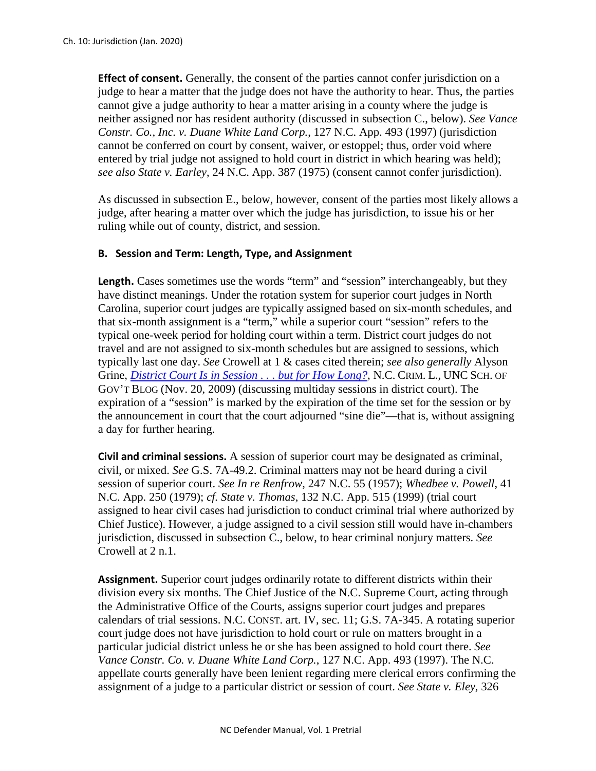**Effect of consent.** Generally, the consent of the parties cannot confer jurisdiction on a judge to hear a matter that the judge does not have the authority to hear. Thus, the parties cannot give a judge authority to hear a matter arising in a county where the judge is neither assigned nor has resident authority (discussed in subsection C., below). *See Vance Constr. Co., Inc. v. Duane White Land Corp.*, 127 N.C. App. 493 (1997) (jurisdiction cannot be conferred on court by consent, waiver, or estoppel; thus, order void where entered by trial judge not assigned to hold court in district in which hearing was held); *see also State v. Earley*, 24 N.C. App. 387 (1975) (consent cannot confer jurisdiction).

As discussed in subsection E., below, however, consent of the parties most likely allows a judge, after hearing a matter over which the judge has jurisdiction, to issue his or her ruling while out of county, district, and session.

## **B. Session and Term: Length, Type, and Assignment**

Length. Cases sometimes use the words "term" and "session" interchangeably, but they have distinct meanings. Under the rotation system for superior court judges in North Carolina, superior court judges are typically assigned based on six-month schedules, and that six-month assignment is a "term," while a superior court "session" refers to the typical one-week period for holding court within a term. District court judges do not travel and are not assigned to six-month schedules but are assigned to sessions, which typically last one day. *See* Crowell at 1 & cases cited therein; *see also generally* Alyson Grine, *[District Court Is in Session . . . but for How Long?](https://nccriminallaw.sog.unc.edu/district-court-is-in-session-but-for-how-long/)*, N.C. CRIM. L., UNC SCH. OF GOV'T BLOG (Nov. 20, 2009) (discussing multiday sessions in district court). The expiration of a "session" is marked by the expiration of the time set for the session or by the announcement in court that the court adjourned "sine die"—that is, without assigning a day for further hearing.

**Civil and criminal sessions.** A session of superior court may be designated as criminal, civil, or mixed. *See* G.S. 7A-49.2. Criminal matters may not be heard during a civil session of superior court. *See In re Renfrow*, 247 N.C. 55 (1957); *Whedbee v. Powell*, 41 N.C. App. 250 (1979); *cf. State v. Thomas*, 132 N.C. App. 515 (1999) (trial court assigned to hear civil cases had jurisdiction to conduct criminal trial where authorized by Chief Justice). However, a judge assigned to a civil session still would have in-chambers jurisdiction, discussed in subsection C., below, to hear criminal nonjury matters. *See*  Crowell at 2 n.1.

**Assignment.** Superior court judges ordinarily rotate to different districts within their division every six months. The Chief Justice of the N.C. Supreme Court, acting through the Administrative Office of the Courts, assigns superior court judges and prepares calendars of trial sessions. N.C. CONST. art. IV, sec. 11; G.S. 7A-345. A rotating superior court judge does not have jurisdiction to hold court or rule on matters brought in a particular judicial district unless he or she has been assigned to hold court there. *See Vance Constr. Co. v. Duane White Land Corp.*, 127 N.C. App. 493 (1997). The N.C. appellate courts generally have been lenient regarding mere clerical errors confirming the assignment of a judge to a particular district or session of court. *See State v. Eley*, 326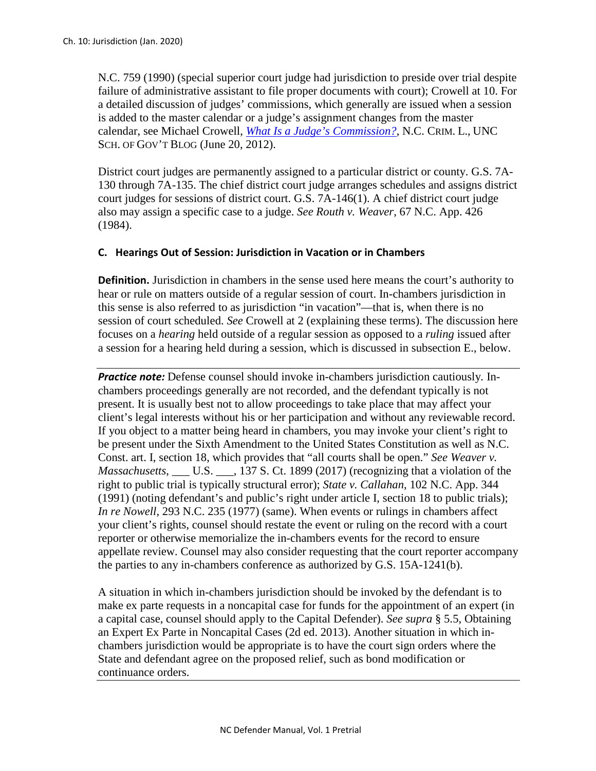N.C. 759 (1990) (special superior court judge had jurisdiction to preside over trial despite failure of administrative assistant to file proper documents with court); Crowell at 10. For a detailed discussion of judges' commissions, which generally are issued when a session is added to the master calendar or a judge's assignment changes from the master calendar, see Michael Crowell, *[What Is a Judge's Commission?](https://nccriminallaw.sog.unc.edu/what-is-a-judges-commission/)*, N.C. CRIM. L., UNC SCH. OF GOV'T BLOG (June 20, 2012).

District court judges are permanently assigned to a particular district or county. G.S. 7A-130 through 7A-135. The chief district court judge arranges schedules and assigns district court judges for sessions of district court. G.S. 7A-146(1). A chief district court judge also may assign a specific case to a judge. *See Routh v. Weaver*, 67 N.C. App. 426 (1984).

# **C. Hearings Out of Session: Jurisdiction in Vacation or in Chambers**

**Definition.** Jurisdiction in chambers in the sense used here means the court's authority to hear or rule on matters outside of a regular session of court. In-chambers jurisdiction in this sense is also referred to as jurisdiction "in vacation"—that is, when there is no session of court scheduled. *See* Crowell at 2 (explaining these terms). The discussion here focuses on a *hearing* held outside of a regular session as opposed to a *ruling* issued after a session for a hearing held during a session, which is discussed in subsection E., below.

**Practice note:** Defense counsel should invoke in-chambers jurisdiction cautiously. Inchambers proceedings generally are not recorded, and the defendant typically is not present. It is usually best not to allow proceedings to take place that may affect your client's legal interests without his or her participation and without any reviewable record. If you object to a matter being heard in chambers, you may invoke your client's right to be present under the Sixth Amendment to the United States Constitution as well as N.C. Const. art. I, section 18, which provides that "all courts shall be open." *See Weaver v. Massachusetts*, \_\_\_ U.S. \_\_\_, 137 S. Ct. 1899 (2017) (recognizing that a violation of the right to public trial is typically structural error); *State v. Callahan*, 102 N.C. App. 344 (1991) (noting defendant's and public's right under article I, section 18 to public trials); *In re Nowell*, 293 N.C. 235 (1977) (same). When events or rulings in chambers affect your client's rights, counsel should restate the event or ruling on the record with a court reporter or otherwise memorialize the in-chambers events for the record to ensure appellate review. Counsel may also consider requesting that the court reporter accompany the parties to any in-chambers conference as authorized by G.S. 15A-1241(b).

A situation in which in-chambers jurisdiction should be invoked by the defendant is to make ex parte requests in a noncapital case for funds for the appointment of an expert (in a capital case, counsel should apply to the Capital Defender). *See supra* § 5.5, Obtaining an Expert Ex Parte in Noncapital Cases (2d ed. 2013). Another situation in which inchambers jurisdiction would be appropriate is to have the court sign orders where the State and defendant agree on the proposed relief, such as bond modification or continuance orders.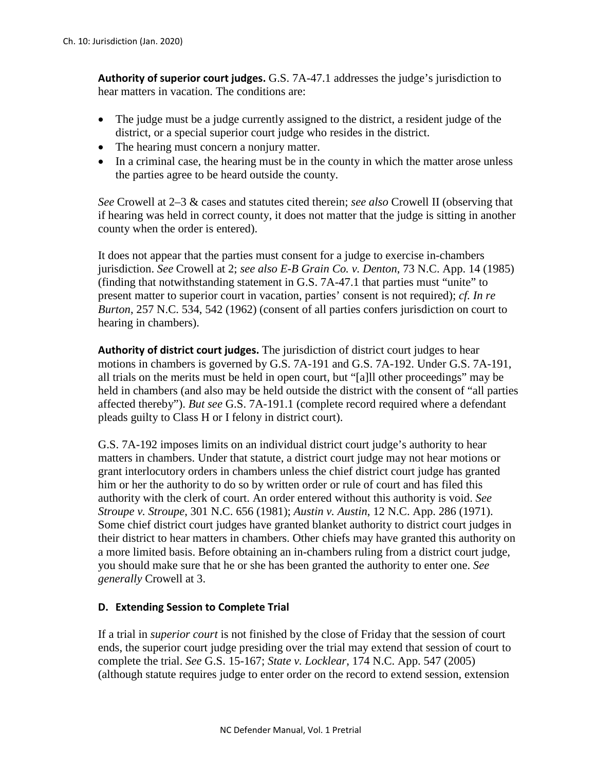**Authority of superior court judges.** G.S. 7A-47.1 addresses the judge's jurisdiction to hear matters in vacation. The conditions are:

- The judge must be a judge currently assigned to the district, a resident judge of the district, or a special superior court judge who resides in the district.
- The hearing must concern a nonjury matter.
- In a criminal case, the hearing must be in the county in which the matter arose unless the parties agree to be heard outside the county.

*See* Crowell at 2–3 & cases and statutes cited therein; *see also* Crowell II (observing that if hearing was held in correct county, it does not matter that the judge is sitting in another county when the order is entered).

It does not appear that the parties must consent for a judge to exercise in-chambers jurisdiction. *See* Crowell at 2; *see also E-B Grain Co. v. Denton*, 73 N.C. App. 14 (1985) (finding that notwithstanding statement in G.S. 7A-47.1 that parties must "unite" to present matter to superior court in vacation, parties' consent is not required); *cf. In re Burton*, 257 N.C. 534, 542 (1962) (consent of all parties confers jurisdiction on court to hearing in chambers).

**Authority of district court judges.** The jurisdiction of district court judges to hear motions in chambers is governed by G.S. 7A-191 and G.S. 7A-192. Under G.S. 7A-191, all trials on the merits must be held in open court, but "[a]ll other proceedings" may be held in chambers (and also may be held outside the district with the consent of "all parties affected thereby"). *But see* G.S. 7A-191.1 (complete record required where a defendant pleads guilty to Class H or I felony in district court).

G.S. 7A-192 imposes limits on an individual district court judge's authority to hear matters in chambers. Under that statute, a district court judge may not hear motions or grant interlocutory orders in chambers unless the chief district court judge has granted him or her the authority to do so by written order or rule of court and has filed this authority with the clerk of court. An order entered without this authority is void. *See Stroupe v. Stroupe*, 301 N.C. 656 (1981); *Austin v. Austin*, 12 N.C. App. 286 (1971). Some chief district court judges have granted blanket authority to district court judges in their district to hear matters in chambers. Other chiefs may have granted this authority on a more limited basis. Before obtaining an in-chambers ruling from a district court judge, you should make sure that he or she has been granted the authority to enter one. *See generally* Crowell at 3.

# **D. Extending Session to Complete Trial**

If a trial in *superior court* is not finished by the close of Friday that the session of court ends, the superior court judge presiding over the trial may extend that session of court to complete the trial. *See* G.S. 15-167; *State v. Locklear*, 174 N.C. App. 547 (2005) (although statute requires judge to enter order on the record to extend session, extension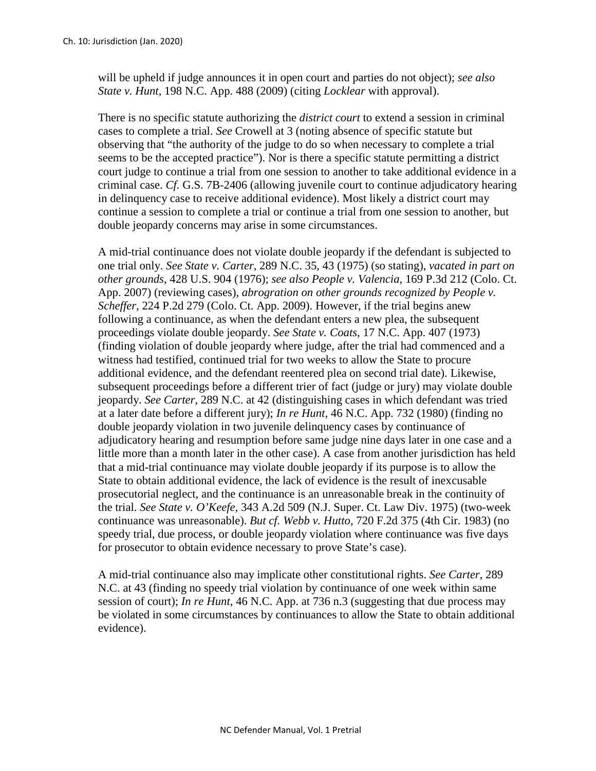will be upheld if judge announces it in open court and parties do not object); *see also State v. Hunt*, 198 N.C. App. 488 (2009) (citing *Locklear* with approval).

There is no specific statute authorizing the *district court* to extend a session in criminal cases to complete a trial. *See* Crowell at 3 (noting absence of specific statute but observing that "the authority of the judge to do so when necessary to complete a trial seems to be the accepted practice"). Nor is there a specific statute permitting a district court judge to continue a trial from one session to another to take additional evidence in a criminal case. *Cf.* G.S. 7B-2406 (allowing juvenile court to continue adjudicatory hearing in delinquency case to receive additional evidence). Most likely a district court may continue a session to complete a trial or continue a trial from one session to another, but double jeopardy concerns may arise in some circumstances.

A mid-trial continuance does not violate double jeopardy if the defendant is subjected to one trial only. *See State v. Carter*, 289 N.C. 35, 43 (1975) (so stating), *vacated in part on other grounds*, 428 U.S. 904 (1976); *see also People v. Valencia*, 169 P.3d 212 (Colo. Ct. App. 2007) (reviewing cases), *abrogration on other grounds recognized by People v. Scheffer*, 224 P.2d 279 (Colo. Ct. App. 2009). However, if the trial begins anew following a continuance, as when the defendant enters a new plea, the subsequent proceedings violate double jeopardy. *See State v. Coats*, 17 N.C. App. 407 (1973) (finding violation of double jeopardy where judge, after the trial had commenced and a witness had testified, continued trial for two weeks to allow the State to procure additional evidence, and the defendant reentered plea on second trial date). Likewise, subsequent proceedings before a different trier of fact (judge or jury) may violate double jeopardy. *See Carter*, 289 N.C. at 42 (distinguishing cases in which defendant was tried at a later date before a different jury); *In re Hunt*, 46 N.C. App. 732 (1980) (finding no double jeopardy violation in two juvenile delinquency cases by continuance of adjudicatory hearing and resumption before same judge nine days later in one case and a little more than a month later in the other case). A case from another jurisdiction has held that a mid-trial continuance may violate double jeopardy if its purpose is to allow the State to obtain additional evidence, the lack of evidence is the result of inexcusable prosecutorial neglect, and the continuance is an unreasonable break in the continuity of the trial. *See State v. O'Keefe*, 343 A.2d 509 (N.J. Super. Ct. Law Div. 1975) (two-week continuance was unreasonable). *But cf. Webb v. Hutto*, 720 F.2d 375 (4th Cir. 1983) (no speedy trial, due process, or double jeopardy violation where continuance was five days for prosecutor to obtain evidence necessary to prove State's case).

A mid-trial continuance also may implicate other constitutional rights. *See Carter*, 289 N.C. at 43 (finding no speedy trial violation by continuance of one week within same session of court); *In re Hunt*, 46 N.C. App. at 736 n.3 (suggesting that due process may be violated in some circumstances by continuances to allow the State to obtain additional evidence).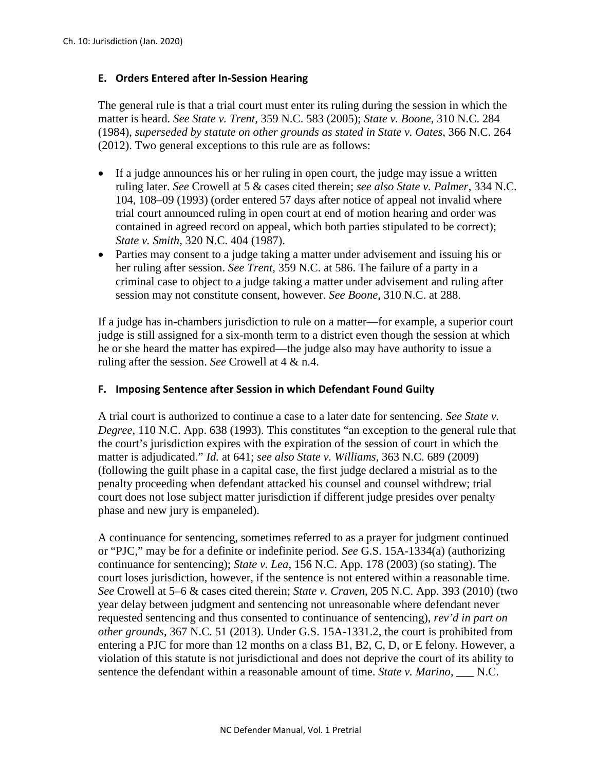## **E. Orders Entered after In-Session Hearing**

The general rule is that a trial court must enter its ruling during the session in which the matter is heard. *See State v. Trent*, 359 N.C. 583 (2005); *State v. Boone*, 310 N.C. 284 (1984), *superseded by statute on other grounds as stated in State v. Oates*, 366 N.C. 264 (2012). Two general exceptions to this rule are as follows:

- If a judge announces his or her ruling in open court, the judge may issue a written ruling later. *See* Crowell at 5 & cases cited therein; *see also State v. Palmer*, 334 N.C. 104, 108–09 (1993) (order entered 57 days after notice of appeal not invalid where trial court announced ruling in open court at end of motion hearing and order was contained in agreed record on appeal, which both parties stipulated to be correct); *State v. Smith*, 320 N.C. 404 (1987).
- Parties may consent to a judge taking a matter under advisement and issuing his or her ruling after session. *See Trent*, 359 N.C. at 586. The failure of a party in a criminal case to object to a judge taking a matter under advisement and ruling after session may not constitute consent, however. *See Boone*, 310 N.C. at 288.

If a judge has in-chambers jurisdiction to rule on a matter—for example, a superior court judge is still assigned for a six-month term to a district even though the session at which he or she heard the matter has expired—the judge also may have authority to issue a ruling after the session. *See* Crowell at 4 & n.4.

### **F. Imposing Sentence after Session in which Defendant Found Guilty**

A trial court is authorized to continue a case to a later date for sentencing. *See State v. Degree*, 110 N.C. App. 638 (1993). This constitutes "an exception to the general rule that the court's jurisdiction expires with the expiration of the session of court in which the matter is adjudicated." *Id.* at 641; *see also State v. Williams*, 363 N.C. 689 (2009) (following the guilt phase in a capital case, the first judge declared a mistrial as to the penalty proceeding when defendant attacked his counsel and counsel withdrew; trial court does not lose subject matter jurisdiction if different judge presides over penalty phase and new jury is empaneled).

A continuance for sentencing, sometimes referred to as a prayer for judgment continued or "PJC," may be for a definite or indefinite period. *See* G.S. 15A-1334(a) (authorizing continuance for sentencing); *State v. Lea*, 156 N.C. App. 178 (2003) (so stating). The court loses jurisdiction, however, if the sentence is not entered within a reasonable time. *See* Crowell at 5–6 & cases cited therein; *State v. Craven*, 205 N.C. App. 393 (2010) (two year delay between judgment and sentencing not unreasonable where defendant never requested sentencing and thus consented to continuance of sentencing), *rev'd in part on other grounds,* 367 N.C. 51 (2013). Under G.S. 15A-1331.2, the court is prohibited from entering a PJC for more than 12 months on a class B1, B2, C, D, or E felony. However, a violation of this statute is not jurisdictional and does not deprive the court of its ability to sentence the defendant within a reasonable amount of time. *State v. Marino*, \_\_\_ N.C.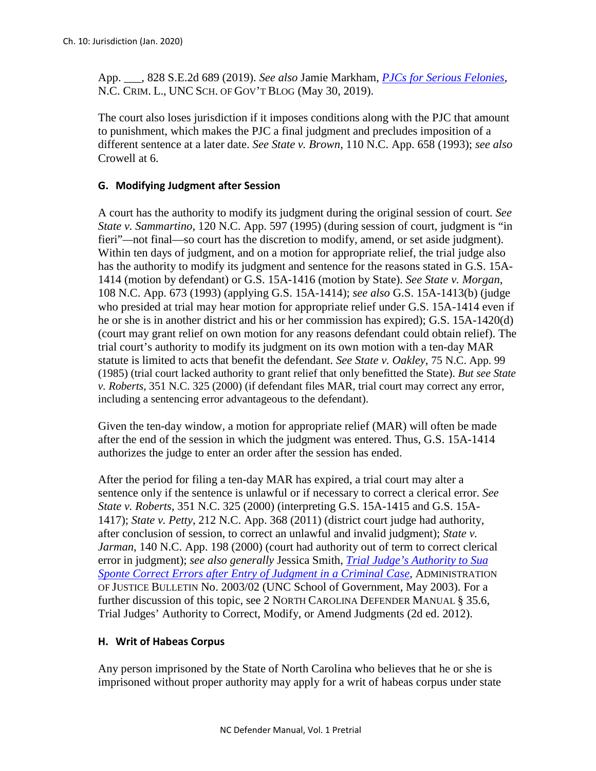App. \_\_\_, 828 S.E.2d 689 (2019). *See also* Jamie Markham, *[PJCs for Serious Felonies](https://nccriminallaw.sog.unc.edu/pjcs-for-serious-felonies/)*, N.C. CRIM. L., UNC SCH. OF GOV'T BLOG (May 30, 2019).

The court also loses jurisdiction if it imposes conditions along with the PJC that amount to punishment, which makes the PJC a final judgment and precludes imposition of a different sentence at a later date. *See State v. Brown*, 110 N.C. App. 658 (1993); *see also*  Crowell at 6.

## **G. Modifying Judgment after Session**

A court has the authority to modify its judgment during the original session of court. *See State v. Sammartino*, 120 N.C. App. 597 (1995) (during session of court, judgment is "in fieri"—not final—so court has the discretion to modify, amend, or set aside judgment). Within ten days of judgment, and on a motion for appropriate relief, the trial judge also has the authority to modify its judgment and sentence for the reasons stated in G.S. 15A-1414 (motion by defendant) or G.S. 15A-1416 (motion by State). *See State v. Morgan*, 108 N.C. App. 673 (1993) (applying G.S. 15A-1414); *see also* G.S. 15A-1413(b) (judge who presided at trial may hear motion for appropriate relief under G.S. 15A-1414 even if he or she is in another district and his or her commission has expired); G.S. 15A-1420(d) (court may grant relief on own motion for any reasons defendant could obtain relief). The trial court's authority to modify its judgment on its own motion with a ten-day MAR statute is limited to acts that benefit the defendant. *See State v. Oakley*, 75 N.C. App. 99 (1985) (trial court lacked authority to grant relief that only benefitted the State). *But see State v. Roberts*, 351 N.C. 325 (2000) (if defendant files MAR, trial court may correct any error, including a sentencing error advantageous to the defendant).

Given the ten-day window, a motion for appropriate relief (MAR) will often be made after the end of the session in which the judgment was entered. Thus, G.S. 15A-1414 authorizes the judge to enter an order after the session has ended.

After the period for filing a ten-day MAR has expired, a trial court may alter a sentence only if the sentence is unlawful or if necessary to correct a clerical error. *See State v. Roberts*, 351 N.C. 325 (2000) (interpreting G.S. 15A-1415 and G.S. 15A-1417); *State v. Petty*, 212 N.C. App. 368 (2011) (district court judge had authority, after conclusion of session, to correct an unlawful and invalid judgment); *State v. Jarman*, 140 N.C. App. 198 (2000) (court had authority out of term to correct clerical error in judgment); *see also generally* Jessica Smith, *[Trial Judge's Authority to Sua](https://www.sog.unc.edu/sites/www.sog.unc.edu/files/reports/aoj200302.pdf)  [Sponte Correct Errors after Entry of Judgment in a Criminal Case](https://www.sog.unc.edu/sites/www.sog.unc.edu/files/reports/aoj200302.pdf)*, ADMINISTRATION OF JUSTICE BULLETIN No. 2003/02 (UNC School of Government, May 2003). For a further discussion of this topic, see 2 NORTH CAROLINA DEFENDER MANUAL § 35.6, Trial Judges' Authority to Correct, Modify, or Amend Judgments (2d ed. 2012).

### **H. Writ of Habeas Corpus**

Any person imprisoned by the State of North Carolina who believes that he or she is imprisoned without proper authority may apply for a writ of habeas corpus under state